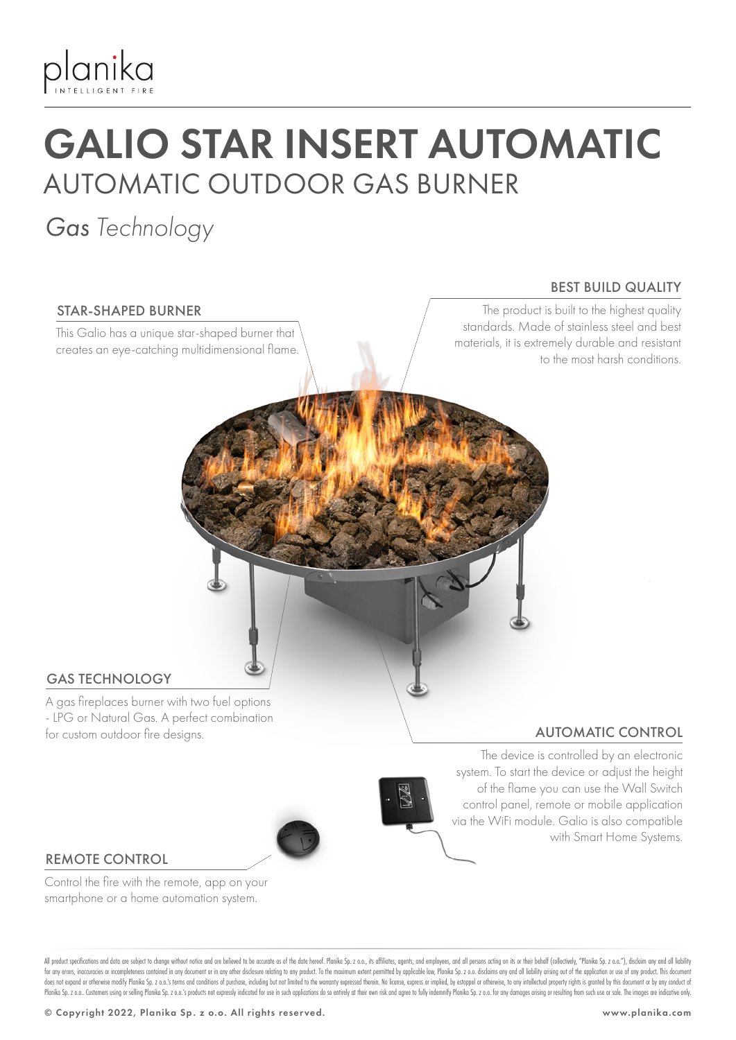

# GALIO STAR INSERT AUTOMATIC AUTOMATIC OUTDOOR GAS BURNER

### *Gas Technology*

#### STAR-SHAPED BURNER

This Galio has a unique star-shaped burner that creates an eye-catching multidimensional flame.

#### BEST BUILD QUALITY

The product is built to the highest quality standards. Made of stainless steel and best materials, it is extremely durable and resistant to the most harsh conditions.

#### GAS TECHNOLOGY

A gas fireplaces burner with two fuel options - LPG or Natural Gas. A perfect combination for custom outdoor fire designs.

### AUTOMATIC CONTROL



The device is controlled by an electronic system. To start the device or adjust the height of the flame you can use the Wall Switch control panel, remote or mobile application via the WiFi module. Galio is also compatible with Smart Home Systems.

#### REMOTE CONTROL

Control the fire with the remote, app on your smartphone or a home automation system.

All product specifications and data are subject to change without notice and are believed to be accurate as of the date hereof. Planika Sp. z o.o., its affiliates, agents, and employees, and all pesons acting on its or the for any errors, inaccuracies or incompleteness contained in any document or in any other disclosure relating to any product. To the maximum extent permitted by applicable law, Planika Sp. z o.o. disclaims any and all liabi does not expand or otherwise modify Planika Sp. z o.o.'s terms and conditions of purchase, including but not limited to the warranty expressed therein. No license, express or implied, by estoppel or otherwise, to any intel Planika Sp. z o.o. Customers using or selling Planika Sp. z o.o.'s products not expressly indicated for use in such applications do so entirely at their own risk and agree to fully indemnify Planika Sp. z o.o. for any dama